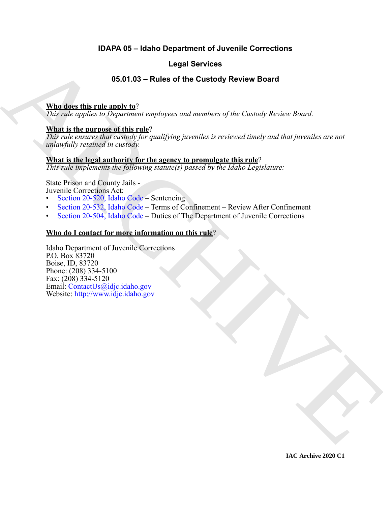# **IDAPA 05 – Idaho Department of Juvenile Corrections**

# **Legal Services**

# **05.01.03 – Rules of the Custody Review Board**

# **Who does this rule apply to**?

*This rule applies to Department employees and members of the Custody Review Board.*

### **What is the purpose of this rule**?

*This rule ensures that custody for qualifying juveniles is reviewed timely and that juveniles are not unlawfully retained in custody.*

### **What is the legal authority for the agency to promulgate this rule**?

*This rule implements the following statute(s) passed by the Idaho Legislature:*

State Prison and County Jails - Juvenile Corrections Act:

• Section 20-520, Idaho Code – Sentencing

- Section 20-532, Idaho Code Terms of Confinement Review After Confinement
- Section 20-504, Idaho Code Duties of The Department of Juvenile Corrections

### **Who do I contact for more information on this rule**?

**Logal Services**<br> **Control of the Custody Review Board**<br> **Control of the Custody Review Board**<br>
This rate only the particular complement complement of the Custody Review Board<br> **What is the particular control of the contr** Idaho Department of Juvenile Corrections P.O. Box 83720 Boise, ID, 83720 Phone: (208) 334-5100 Fax: (208) 334-5120 Email: ContactUs@idjc.idaho.gov Website: http://www.idjc.idaho.gov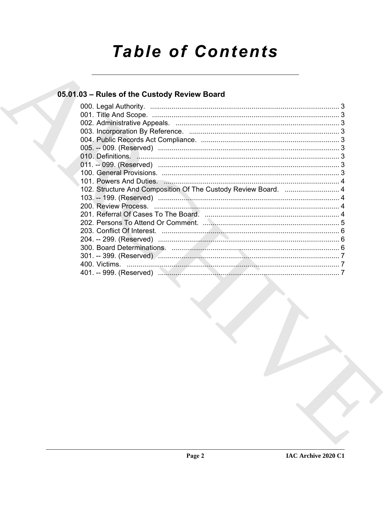# **Table of Contents**

# 05.01.03 - Rules of the Custody Review Board

| 102. Structure And Composition Of The Custody Review Board.  4 |  |
|----------------------------------------------------------------|--|
|                                                                |  |
|                                                                |  |
|                                                                |  |
|                                                                |  |
|                                                                |  |
|                                                                |  |
|                                                                |  |
|                                                                |  |
|                                                                |  |
|                                                                |  |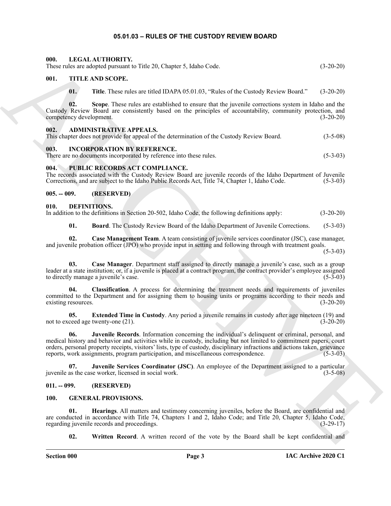#### **05.01.03 – RULES OF THE CUSTODY REVIEW BOARD**

#### <span id="page-2-23"></span><span id="page-2-1"></span><span id="page-2-0"></span>**000. LEGAL AUTHORITY.**

These rules are adopted pursuant to Title 20, Chapter 5, Idaho Code. (3-20-20)

#### <span id="page-2-2"></span>**001. TITLE AND SCOPE.**

<span id="page-2-25"></span>**01. Title**. These rules are titled IDAPA 05.01.03, "Rules of the Custody Review Board." (3-20-20)

**02. Scope**. These rules are established to ensure that the juvenile corrections system in Idaho and the Custody Review Board are consistently based on the principles of accountability, community protection, and competency development.

#### <span id="page-2-10"></span><span id="page-2-3"></span>**002. ADMINISTRATIVE APPEALS.**

|  |  | This chapter does not provide for appeal of the determination of the Custody Review Board. | $(3-5-08)$ |
|--|--|--------------------------------------------------------------------------------------------|------------|
|  |  |                                                                                            |            |

#### <span id="page-2-22"></span><span id="page-2-4"></span>**003. INCORPORATION BY REFERENCE.**

| There are no documents incorporated by reference into these rules. |  | $(5-3-03)$ |
|--------------------------------------------------------------------|--|------------|
|                                                                    |  |            |

#### <span id="page-2-24"></span><span id="page-2-5"></span>**004. PUBLIC RECORDS ACT COMPLIANCE.**

The records associated with the Custody Review Board are juvenile records of the Idaho Department of Juvenile<br>Corrections, and are subject to the Idaho Public Records Act, Title 74, Chapter 1, Idaho Code. (5-3-03) Corrections, and are subject to the Idaho Public Records Act, Title 74, Chapter 1, Idaho Code.

#### <span id="page-2-6"></span>**005. -- 009. (RESERVED)**

#### <span id="page-2-11"></span><span id="page-2-7"></span>**010. DEFINITIONS.**

In addition to the definitions in Section 20-502, Idaho Code, the following definitions apply: (3-20-20)

<span id="page-2-14"></span><span id="page-2-13"></span><span id="page-2-12"></span>**01. Board**. The Custody Review Board of the Idaho Department of Juvenile Corrections. (5-3-03)

**02. Case Management Team**. A team consisting of juvenile services coordinator (JSC), case manager, and juvenile probation officer (JPO) who provide input in setting and following through with treatment goals.

 $(5-3-03)$ 

**03. Case Manager**. Department staff assigned to directly manage a juvenile's case, such as a group leader at a state institution; or, if a juvenile is placed at a contract program, the contract provider's employee assigned to directly manage a juvenile's case.

<span id="page-2-15"></span>**04. Classification**. A process for determining the treatment needs and requirements of juveniles committed to the Department and for assigning them to housing units or programs according to their needs and existing resources. (3-20-20)

<span id="page-2-17"></span><span id="page-2-16"></span>**05. Extended Time in Custody**. Any period a juvenile remains in custody after age nineteen (19) and not to exceed age twenty-one (21). (3-20-20)

601. THE A ARCHITECTURE THE ALCOHORNEY STAR CARE<br>
Thus Electro and Section 2011 and Section 2012 and Section 2012 and Section 2012 and Section 2012<br>
(a) The Thus Theory and Section 2012 and Section 2012 and Section 2012 **06. Juvenile Records**. Information concerning the individual's delinquent or criminal, personal, and medical history and behavior and activities while in custody, including but not limited to commitment papers, court orders, personal property receipts, visitors' lists, type of custody, disciplinary infractions and actions taken, grievance reports, work assignments, program participation, and miscellaneous correspondence. (5-3-03)

<span id="page-2-18"></span>**07. Juvenile Services Coordinator (JSC)**. An employee of the Department assigned to a particular juvenile as the case worker, licensed in social work. (3-5-08)

#### <span id="page-2-8"></span>**011. -- 099. (RESERVED)**

#### <span id="page-2-19"></span><span id="page-2-9"></span>**100. GENERAL PROVISIONS.**

**01. Hearings**. All matters and testimony concerning juveniles, before the Board, are confidential and are conducted in accordance with Title 74, Chapters 1 and 2, Idaho Code; and Title 20, Chapter 5, Idaho Code, regarding juvenile records and proceedings. (3-29-17)

<span id="page-2-21"></span><span id="page-2-20"></span>**02. Written Record**. A written record of the vote by the Board shall be kept confidential and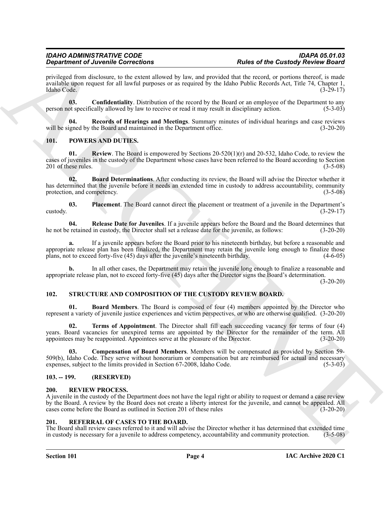# *Department of Juvenile Corrections*

privileged from disclosure, to the extent allowed by law, and provided that the record, or portions thereof, is made available upon request for all lawful purposes or as required by the Idaho Public Records Act, Title 74, Chapter 1, Idaho Code. (3-29-17)

<span id="page-3-5"></span>**03. Confidentiality**. Distribution of the record by the Board or an employee of the Department to any person not specifically allowed by law to receive or read it may result in disciplinary action. (5-3-03)

<span id="page-3-6"></span>**04. Records of Hearings and Meetings**. Summary minutes of individual hearings and case reviews will be signed by the Board and maintained in the Department office. (3-20-20)

#### <span id="page-3-10"></span><span id="page-3-7"></span><span id="page-3-0"></span>**101. POWERS AND DUTIES.**

<span id="page-3-8"></span>**Review**. The Board is empowered by Sections 20-520(1)(r) and 20-532, Idaho Code, to review the cases of juveniles in the custody of the Department whose cases have been referred to the Board according to Section 201 of these rules. (3-5-08)

**Strainer of Liveralite Controlliners** (Exclusive Research) **A Exclusive Controlliners** (Exclusive Research) **Exclusive Controlliners** (Exclusive Research) **Exclusive Controlliners** (Exclusive Research) **Exclusive Contr 02. Board Determinations**. After conducting its review, the Board will advise the Director whether it has determined that the juvenile before it needs an extended time in custody to address accountability, community protection, and competency. (3-5-08)

<span id="page-3-11"></span>**03.** Placement. The Board cannot direct the placement or treatment of a juvenile in the Department's (3-29-17)  $\frac{1}{3}$  (3-29-17)

<span id="page-3-9"></span>**04. Release Date for Juveniles**. If a juvenile appears before the Board and the Board determines that he not be retained in custody, the Director shall set a release date for the juvenile, as follows: (3-20-20)

**a.** If a juvenile appears before the Board prior to his nineteenth birthday, but before a reasonable and appropriate release plan has been finalized, the Department may retain the juvenile long enough to finalize those plans, not to exceed forty-five (45) days after the juvenile's nineteenth birthday. (4-6-05)

**b.** In all other cases, the Department may retain the juvenile long enough to finalize a reasonable and appropriate release plan, not to exceed forty-five (45) days after the Director signs the Board's determination.

(3-20-20)

#### <span id="page-3-14"></span><span id="page-3-1"></span>**102. STRUCTURE AND COMPOSITION OF THE CUSTODY REVIEW BOARD.**

<span id="page-3-15"></span>**Board Members**. The Board is composed of four (4) members appointed by the Director who represent a variety of juvenile justice experiences and victim perspectives, or who are otherwise qualified. (3-20-20)

<span id="page-3-17"></span>**02. Terms of Appointment**. The Director shall fill each succeeding vacancy for terms of four (4) years. Board vacancies for unexpired terms are appointed by the Director for the remainder of the term. All appointees may be reappointed. Appointees serve at the pleasure of the Director. (3-20-20)

<span id="page-3-16"></span>**03. Compensation of Board Members**. Members will be compensated as provided by Section 59- 509(b), Idaho Code. They serve without honorarium or compensation but are reimbursed for actual and necessary expenses, subject to the limits provided in Section 67-2008, Idaho Code. (5-3-03) expenses, subject to the limits provided in Section 67-2008, Idaho Code.

#### <span id="page-3-2"></span>**103. -- 199. (RESERVED)**

#### <span id="page-3-13"></span><span id="page-3-3"></span>**200. REVIEW PROCESS.**

A juvenile in the custody of the Department does not have the legal right or ability to request or demand a case review by the Board. A review by the Board does not create a liberty interest for the juvenile, and cannot be appealed. All cases come before the Board as outlined in Section 201 of these rules (3-20-20)

#### <span id="page-3-12"></span><span id="page-3-4"></span>**201. REFERRAL OF CASES TO THE BOARD.**

The Board shall review cases referred to it and will advise the Director whether it has determined that extended time in custody is necessary for a juvenile to address competency, accountability and community protection. (3-5-08)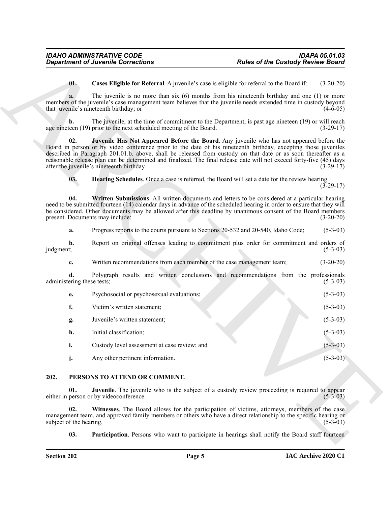<span id="page-4-8"></span><span id="page-4-7"></span><span id="page-4-6"></span><span id="page-4-5"></span>

|                                  | <b>Department of Juvenile Corrections</b>                                                                                                                                                                                                                                                                                                                                                                                                                                                         | <b>Rules of the Custody Review Board</b>                                                                |  |  |
|----------------------------------|---------------------------------------------------------------------------------------------------------------------------------------------------------------------------------------------------------------------------------------------------------------------------------------------------------------------------------------------------------------------------------------------------------------------------------------------------------------------------------------------------|---------------------------------------------------------------------------------------------------------|--|--|
| 01.                              | Cases Eligible for Referral. A juvenile's case is eligible for referral to the Board if:                                                                                                                                                                                                                                                                                                                                                                                                          | $(3-20-20)$                                                                                             |  |  |
| a.                               | The juvenile is no more than six $(6)$ months from his nineteenth birthday and one $(1)$ or more<br>members of the juvenile's case management team believes that the juvenile needs extended time in custody beyond<br>that juvenile's nineteenth birthday; or                                                                                                                                                                                                                                    | $(4-6-05)$                                                                                              |  |  |
| b.                               | The juvenile, at the time of commitment to the Department, is past age nineteen (19) or will reach<br>age nineteen (19) prior to the next scheduled meeting of the Board.                                                                                                                                                                                                                                                                                                                         | $(3-29-17)$                                                                                             |  |  |
| 02.                              | Juvenile Has Not Appeared Before the Board. Any juvenile who has not appeared before the<br>Board in person or by video conference prior to the date of his nineteenth birthday, excepting those juveniles<br>described in Paragraph 201.01.b. above, shall be released from custody on that date or as soon thereafter as a<br>reasonable release plan can be determined and finalized. The final release date will not exceed forty-five (45) days<br>after the juvenile's nineteenth birthday. | $(3-29-17)$                                                                                             |  |  |
| 03.                              | <b>Hearing Schedules.</b> Once a case is referred, the Board will set a date for the review hearing.                                                                                                                                                                                                                                                                                                                                                                                              | $(3-29-17)$                                                                                             |  |  |
| 04.                              | Written Submissions. All written documents and letters to be considered at a particular hearing<br>need to be submitted fourteen (14) calendar days in advance of the scheduled hearing in order to ensure that they will<br>be considered. Other documents may be allowed after this deadline by unanimous consent of the Board members<br>present. Documents may include:                                                                                                                       | $(3-20-20)$                                                                                             |  |  |
| a.                               | Progress reports to the courts pursuant to Sections 20-532 and 20-540, Idaho Code;                                                                                                                                                                                                                                                                                                                                                                                                                | $(5-3-03)$                                                                                              |  |  |
| b.<br>judgment;                  | Report on original offenses leading to commitment plus order for commitment and orders of                                                                                                                                                                                                                                                                                                                                                                                                         | $(5-3-03)$                                                                                              |  |  |
| c.                               | Written recommendations from each member of the case management team;                                                                                                                                                                                                                                                                                                                                                                                                                             | $(3-20-20)$                                                                                             |  |  |
| d.<br>administering these tests; | Polygraph results and written conclusions and recommendations from the professionals                                                                                                                                                                                                                                                                                                                                                                                                              | $(5-3-03)$                                                                                              |  |  |
| e.                               | Psychosocial or psychosexual evaluations;                                                                                                                                                                                                                                                                                                                                                                                                                                                         | $(5-3-03)$                                                                                              |  |  |
| f.                               | Victim's written statement;                                                                                                                                                                                                                                                                                                                                                                                                                                                                       | $(5-3-03)$                                                                                              |  |  |
| g.                               | Juvenile's written statement;                                                                                                                                                                                                                                                                                                                                                                                                                                                                     | $(5-3-03)$                                                                                              |  |  |
| h.                               | Initial classification;                                                                                                                                                                                                                                                                                                                                                                                                                                                                           | $(5-3-03)$                                                                                              |  |  |
| i.                               | Custody level assessment at case review; and                                                                                                                                                                                                                                                                                                                                                                                                                                                      | $(5-3-03)$                                                                                              |  |  |
| j.                               | Any other pertinent information.                                                                                                                                                                                                                                                                                                                                                                                                                                                                  | $(5-3-03)$                                                                                              |  |  |
| 202.                             | PERSONS TO ATTEND OR COMMENT.                                                                                                                                                                                                                                                                                                                                                                                                                                                                     |                                                                                                         |  |  |
| 01.                              | Juvenile. The juvenile who is the subject of a custody review proceeding is required to appear<br>either in person or by videoconference.                                                                                                                                                                                                                                                                                                                                                         | $(5-3-03)$                                                                                              |  |  |
| 02.<br>subject of the hearing.   | Witnesses. The Board allows for the participation of victims, attorneys, members of the case<br>management team, and approved family members or others who have a direct relationship to the specific hearing or                                                                                                                                                                                                                                                                                  | $(5-3-03)$                                                                                              |  |  |
|                                  |                                                                                                                                                                                                                                                                                                                                                                                                                                                                                                   | <b>Participation.</b> Persons who want to participate in hearings shall notify the Board staff fourteen |  |  |

#### <span id="page-4-4"></span><span id="page-4-3"></span><span id="page-4-2"></span><span id="page-4-1"></span><span id="page-4-0"></span>**202. PERSONS TO ATTEND OR COMMENT.**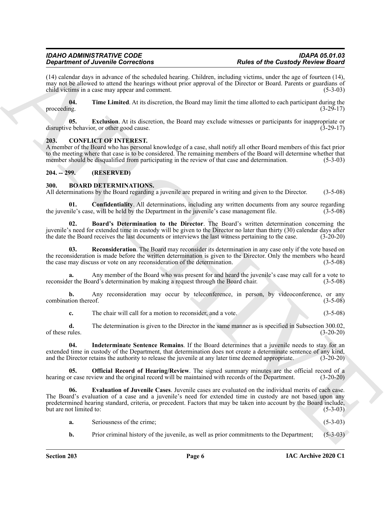#### *IDAHO ADMINISTRATIVE CODE IDAPA 05.01.03 Department of Juvenile Corrections*

(14) calendar days in advance of the scheduled hearing. Children, including victims, under the age of fourteen (14), may not be allowed to attend the hearings without prior approval of the Director or Board. Parents or guardians of child victims in a case may appear and comment. (5-3-03)

<span id="page-5-11"></span>**04. Time Limited**. At its discretion, the Board may limit the time allotted to each participant during the proceeding.  $(3-29-17)$ 

<span id="page-5-12"></span>**05. Exclusion**. At its discretion, the Board may exclude witnesses or participants for inappropriate or disruptive behavior, or other good cause. (3-29-17)

#### <span id="page-5-10"></span><span id="page-5-0"></span>**203. CONFLICT OF INTEREST.**

A member of the Board who has personal knowledge of a case, shall notify all other Board members of this fact prior to the meeting where that case is to be considered. The remaining members of the Board will determine whether that member should be disqualified from participating in the review of that case and determination. (5-3-03)

### <span id="page-5-1"></span>**204. -- 299. (RESERVED)**

#### <span id="page-5-3"></span><span id="page-5-2"></span>**300. BOARD DETERMINATIONS.**

All determinations by the Board regarding a juvenile are prepared in writing and given to the Director. (3-5-08)

<span id="page-5-5"></span>**01. Confidentiality**. All determinations, including any written documents from any source regarding ile's case, will be held by the Department in the invenile's case management file. (3-5-08) the juvenile's case, will be held by the Department in the juvenile's case management file.

<span id="page-5-4"></span>**02. Board's Determination to the Director**. The Board's written determination concerning the juvenile's need for extended time in custody will be given to the Director no later than thirty (30) calendar days after the date the Board receives the last documents or interviews the last witness pertaining to the case. (3-20-20)

<span id="page-5-9"></span>**Reconsideration**. The Board may reconsider its determination in any case only if the vote based on the reconsideration is made before the written determination is given to the Director. Only the members who heard the case may discuss or vote on any reconsideration of the determination. (3-5-08)

**a.** Any member of the Board who was present for and heard the juvenile's case may call for a vote to reconsider the Board's determination by making a request through the Board chair. (3-5-08)

**b.** Any reconsideration may occur by teleconference, in person, by videoconference, or any combination thereof. (3-5-08)

<span id="page-5-7"></span>**c.** The chair will call for a motion to reconsider, and a vote. (3-5-08)

**d.** The determination is given to the Director in the same manner as is specified in Subsection 300.02, of these rules. (3-20-20) of these rules. (3-20-20)

**04. Indeterminate Sentence Remains**. If the Board determines that a juvenile needs to stay for an extended time in custody of the Department, that determination does not create a determinate sentence of any kind, and the Director retains the authority to release the juvenile at any later time deemed appropriate. (3-20-20)

<span id="page-5-8"></span>**05. Official Record of Hearing/Review**. The signed summary minutes are the official record of a hearing or case review and the original record will be maintained with records of the Department. (3-20-20)

**Solution of Juneality description**<br>
(14) cheapty description (a) **Example Construction** and the construction of the Construction (4) cheapty and the construction (4) cheapty and the construction (4) cheapty and the const **06. Evaluation of Juvenile Cases**. Juvenile cases are evaluated on the individual merits of each case. The Board's evaluation of a case and a juvenile's need for extended time in custody are not based upon any predetermined hearing standard, criteria, or precedent. Factors that may be taken into account by the Board include, but are not limited to: (5-3-03)

- <span id="page-5-6"></span>**a.** Seriousness of the crime; (5-3-03)
- **b.** Prior criminal history of the juvenile, as well as prior commitments to the Department; (5-3-03)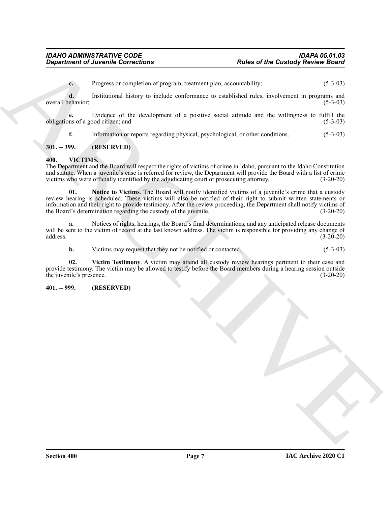**c.** Progress or completion of program, treatment plan, accountability; (5-3-03)

**d.** Institutional history to include conformance to established rules, involvement in programs and overall behavior; (5-3-03)

**e.** Evidence of the development of a positive social attitude and the willingness to fulfill the obligations of a good citizen; and (5-3-03)

<span id="page-6-3"></span>**f.** Information or reports regarding physical, psychological, or other conditions. (5-3-03)

#### <span id="page-6-0"></span>**301. -- 399. (RESERVED)**

#### <span id="page-6-1"></span>**400. VICTIMS.**

<span id="page-6-4"></span>The Department and the Board will respect the rights of victims of crime in Idaho, pursuant to the Idaho Constitution and statute. When a juvenile's case is referred for review, the Department will provide the Board with a list of crime victims who were officially identified by the adjudicating court or prosecuting attorney. (3-20-20) victims who were officially identified by the adjudicating court or prosecuting attorney.

**Experiment of Australia Corrections**<br>
Consideration is the desired program, revaining the material plant accounts of the Caustody Resider Board<br>
Correlation of the development of a positive second active increase in Equa **01. Notice to Victims**. The Board will notify identified victims of a juvenile's crime that a custody review hearing is scheduled. These victims will also be notified of their right to submit written statements or information and their right to provide testimony. After the review proceeding, the Department shall notify victims of the Board's determination regarding the custody of the juvenile. (3-20-20) the Board's determination regarding the custody of the juvenile.

**a.** Notices of rights, hearings, the Board's final determinations, and any anticipated release documents will be sent to the victim of record at the last known address. The victim is responsible for providing any change of address. (3-20-20) address.  $(3-20-20)$ 

<span id="page-6-5"></span>**b.** Victims may request that they not be notified or contacted. (5-3-03)

**02. Victim Testimony**. A victim may attend all custody review hearings pertinent to their case and provide testimony. The victim may be allowed to testify before the Board members during a hearing session outside the juvenile's presence. (3-20-20)

<span id="page-6-2"></span>**401. -- 999. (RESERVED)**